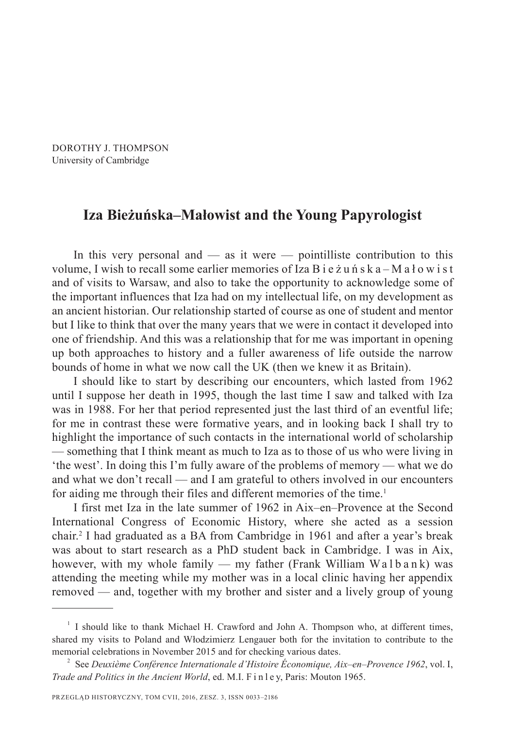DOROTHY J. THOMPSON University of Cambridge

## **Iza Bieżuńska–Małowist and the Young Papyrologist**

In this very personal and  $-$  as it were  $-$  pointilliste contribution to this volume, I wish to recall some earlier memories of Iza B i e ż u n s k a – M a ł o w i s t and of visits to Warsaw, and also to take the opportunity to acknowledge some of the important influences that Iza had on my intellectual life, on my development as an ancient historian. Our relationship started of course as one of student and mentor but I like to think that over the many years that we were in contact it developed into one of friendship. And this was a relationship that for me was important in opening up both approaches to history and a fuller awareness of life outside the narrow bounds of home in what we now call the UK (then we knew it as Britain).

I should like to start by describing our encounters, which lasted from 1962 until I suppose her death in 1995, though the last time I saw and talked with Iza was in 1988. For her that period represented just the last third of an eventful life; for me in contrast these were formative years, and in looking back I shall try to highlight the importance of such contacts in the international world of scholarship — something that I think meant as much to Iza as to those of us who were living in 'the west'. In doing this I'm fully aware of the problems of memory — what we do and what we don't recall — and I am grateful to others involved in our encounters for aiding me through their files and different memories of the time.<sup>1</sup>

I first met Iza in the late summer of 1962 in Aix–en–Provence at the Second International Congress of Economic History, where she acted as a session chair.2 I had graduated as a BA from Cambridge in 1961 and after a year's break was about to start research as a PhD student back in Cambridge. I was in Aix, however, with my whole family — my father (Frank William Walbank) was attending the meeting while my mother was in a local clinic having her appendix removed — and, together with my brother and sister and a lively group of young

<sup>&</sup>lt;sup>1</sup> I should like to thank Michael H. Crawford and John A. Thompson who, at different times, shared my visits to Poland and Włodzimierz Lengauer both for the invitation to contribute to the memorial celebrations in November 2015 and for checking various dates.

<sup>2</sup> See *Deuxième Conférence Internationale d'Histoire Économique, Aix–en–Provence 1962*, vol. I, *Trade and Politics in the Ancient World*, ed. M.I. F i n l e y, Paris: Mouton 1965.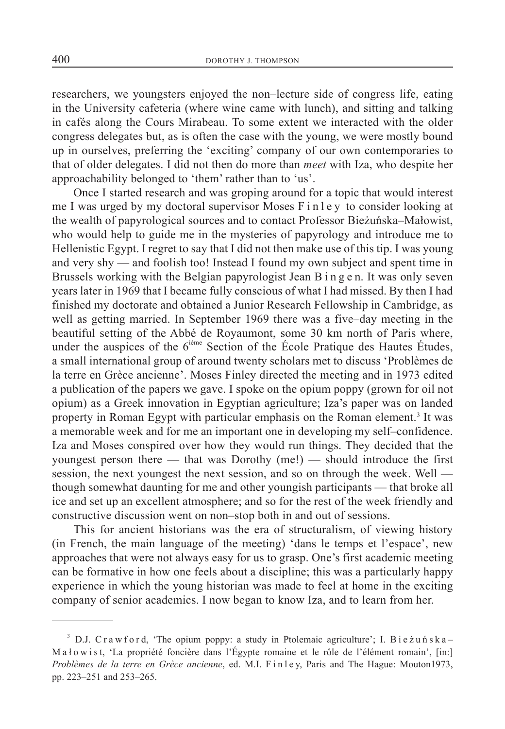researchers, we youngsters enjoyed the non–lecture side of congress life, eating in the University cafeteria (where wine came with lunch), and sitting and talking in cafés along the Cours Mirabeau. To some extent we interacted with the older congress delegates but, as is often the case with the young, we were mostly bound up in ourselves, preferring the 'exciting' company of our own contemporaries to that of older delegates. I did not then do more than *meet* with Iza, who despite her approachability belonged to 'them' rather than to 'us'.

Once I started research and was groping around for a topic that would interest me I was urged by my doctoral supervisor Moses F i n l e y to consider looking at the wealth of papyrological sources and to contact Professor Bieżuńska–Małowist, who would help to guide me in the mysteries of papyrology and introduce me to Hellenistic Egypt. I regret to say that I did not then make use of this tip. I was young and very shy — and foolish too! Instead I found my own subject and spent time in Brussels working with the Belgian papyrologist Jean B i n g e n. It was only seven years later in 1969 that I became fully conscious of what I had missed. By then I had finished my doctorate and obtained a Junior Research Fellowship in Cambridge, as well as getting married. In September 1969 there was a five–day meeting in the beautiful setting of the Abbé de Royaumont, some 30 km north of Paris where, under the auspices of the  $6<sup>ième</sup> Section of the École Pratique des Hautes Études,$ a small international group of around twenty scholars met to discuss 'Problèmes de la terre en Grèce ancienne'. Moses Finley directed the meeting and in 1973 edited a publication of the papers we gave. I spoke on the opium poppy (grown for oil not opium) as a Greek innovation in Egyptian agriculture; Iza's paper was on landed property in Roman Egypt with particular emphasis on the Roman element.<sup>3</sup> It was a memorable week and for me an important one in developing my self–confidence. Iza and Moses conspired over how they would run things. They decided that the youngest person there — that was Dorothy (me!) — should introduce the first session, the next youngest the next session, and so on through the week. Well though somewhat daunting for me and other youngish participants — that broke all ice and set up an excellent atmosphere; and so for the rest of the week friendly and constructive discussion went on non–stop both in and out of sessions.

This for ancient historians was the era of structuralism, of viewing history (in French, the main language of the meeting) 'dans le temps et l'espace', new approaches that were not always easy for us to grasp. One's first academic meeting can be formative in how one feels about a discipline; this was a particularly happy experience in which the young historian was made to feel at home in the exciting company of senior academics. I now began to know Iza, and to learn from her.

<sup>&</sup>lt;sup>3</sup> D.J. C r a w f o r d, 'The opium poppy: a study in Ptolemaic agriculture'; I. B i e  $\zeta$  u ń s k a -M a ł o w i s t, 'La propriété foncière dans l'Égypte romaine et le rôle de l'élément romain', [in:] Problèmes de la terre en Grèce ancienne, ed. M.I. Finley, Paris and The Hague: Mouton1973, pp. 223–251 and 253–265.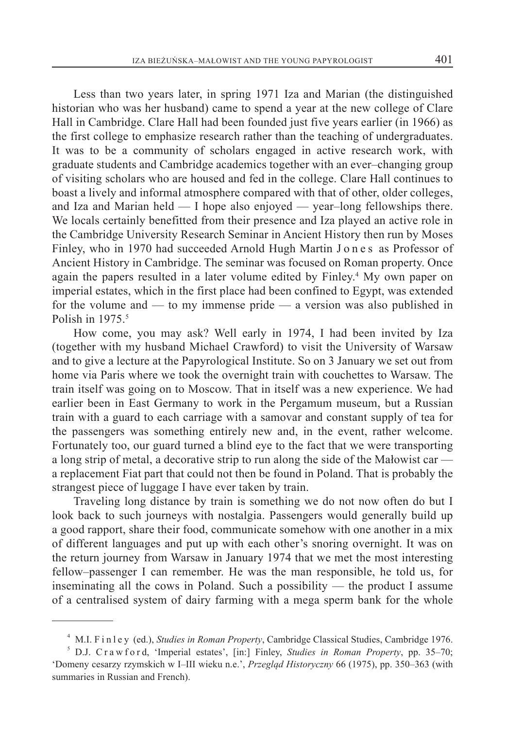Less than two years later, in spring 1971 Iza and Marian (the distinguished historian who was her husband) came to spend a year at the new college of Clare Hall in Cambridge. Clare Hall had been founded just five years earlier (in 1966) as the first college to emphasize research rather than the teaching of undergraduates. It was to be a community of scholars engaged in active research work, with graduate students and Cambridge academics together with an ever–changing group of visiting scholars who are housed and fed in the college. Clare Hall continues to boast a lively and informal atmosphere compared with that of other, older colleges, and Iza and Marian held — I hope also enjoyed — year–long fellowships there. We locals certainly benefitted from their presence and Iza played an active role in the Cambridge University Research Seminar in Ancient History then run by Moses Finley, who in 1970 had succeeded Arnold Hugh Martin J on e s as Professor of Ancient History in Cambridge. The seminar was focused on Roman property. Once again the papers resulted in a later volume edited by Finley.<sup>4</sup> My own paper on imperial estates, which in the first place had been confined to Egypt, was extended for the volume and — to my immense pride — a version was also published in Polish in 1975.<sup>5</sup>

How come, you may ask? Well early in 1974, I had been invited by Iza (together with my husband Michael Crawford) to visit the University of Warsaw and to give a lecture at the Papyrological Institute. So on 3 January we set out from home via Paris where we took the overnight train with couchettes to Warsaw. The train itself was going on to Moscow. That in itself was a new experience. We had earlier been in East Germany to work in the Pergamum museum, but a Russian train with a guard to each carriage with a samovar and constant supply of tea for the passengers was something entirely new and, in the event, rather welcome. Fortunately too, our guard turned a blind eye to the fact that we were transporting a long strip of metal, a decorative strip to run along the side of the Małowist car a replacement Fiat part that could not then be found in Poland. That is probably the strangest piece of luggage I have ever taken by train.

Traveling long distance by train is something we do not now often do but I look back to such journeys with nostalgia. Passengers would generally build up a good rapport, share their food, communicate somehow with one another in a mix of different languages and put up with each other's snoring overnight. It was on the return journey from Warsaw in January 1974 that we met the most interesting fellow–passenger I can remember. He was the man responsible, he told us, for inseminating all the cows in Poland. Such a possibility — the product I assume of a centralised system of dairy farming with a mega sperm bank for the whole

<sup>4</sup> M.I. F i n l e y (ed.), *Studies in Roman Property*, Cambridge Classical Studies, Cambridge 1976.

 $5$  D.J. C r a w f o r d, 'Imperial estates', [in:] Finley, *Studies in Roman Property*, pp. 35–70; 'Domeny cesarzy rzymskich w I–III wieku n.e.', *Przegląd Historyczny* 66 (1975), pp. 350–363 (with summaries in Russian and French).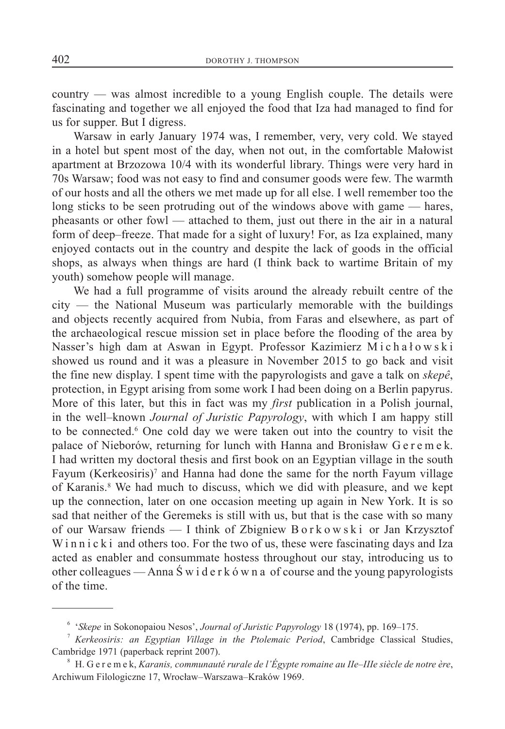country — was almost incredible to a young English couple. The details were fascinating and together we all enjoyed the food that Iza had managed to find for us for supper. But I digress.

Warsaw in early January 1974 was, I remember, very, very cold. We stayed in a hotel but spent most of the day, when not out, in the comfortable Małowist apartment at Brzozowa 10/4 with its wonderful library. Things were very hard in 70s Warsaw; food was not easy to find and consumer goods were few. The warmth of our hosts and all the others we met made up for all else. I well remember too the long sticks to be seen protruding out of the windows above with game — hares, pheasants or other fowl — attached to them, just out there in the air in a natural form of deep–freeze. That made for a sight of luxury! For, as Iza explained, many enjoyed contacts out in the country and despite the lack of goods in the official shops, as always when things are hard (I think back to wartime Britain of my youth) somehow people will manage.

We had a full programme of visits around the already rebuilt centre of the city — the National Museum was particularly memorable with the buildings and objects recently acquired from Nubia, from Faras and elsewhere, as part of the archaeological rescue mission set in place before the flooding of the area by Nasser's high dam at Aswan in Egypt. Professor Kazimierz Michałowski showed us round and it was a pleasure in November 2015 to go back and visit the fine new display. I spent time with the papyrologists and gave a talk on *skepê*, protection, in Egypt arising from some work I had been doing on a Berlin papyrus. More of this later, but this in fact was my *first* publication in a Polish journal, in the well–known *Journal of Juristic Papyrology*, with which I am happy still to be connected.6 One cold day we were taken out into the country to visit the palace of Nieborów, returning for lunch with Hanna and Bronisław G e r e m e k. I had written my doctoral thesis and first book on an Egyptian village in the south Fayum (Kerkeosiris)<sup>7</sup> and Hanna had done the same for the north Fayum village of Karanis.<sup>8</sup> We had much to discuss, which we did with pleasure, and we kept up the connection, later on one occasion meeting up again in New York. It is so sad that neither of the Geremeks is still with us, but that is the case with so many of our Warsaw friends — I think of Zbigniew B o r k o w s k i or Jan Krzysztof W in n i c k i and others too. For the two of us, these were fascinating days and Iza acted as enabler and consummate hostess throughout our stay, introducing us to other colleagues — Anna Świderkówna of course and the young papyrologists of the time.

<sup>6</sup> '*Skepe* in Sokonopaiou Nesos', *Journal of Juristic Papyrology* 18 (1974), pp. 169–175.

<sup>7</sup> *Kerkeosiris: an Egyptian Village in the Ptolemaic Period*, Cambridge Classical Studies, Cambridge 1971 (paperback reprint 2007).

<sup>8</sup> H. G e r e m e k, *Karanis, communauté rurale de l'Égypte romaine au IIe–IIIe siècle de notre ère*, Archiwum Filologiczne 17, Wrocław–Warszawa–Kraków 1969.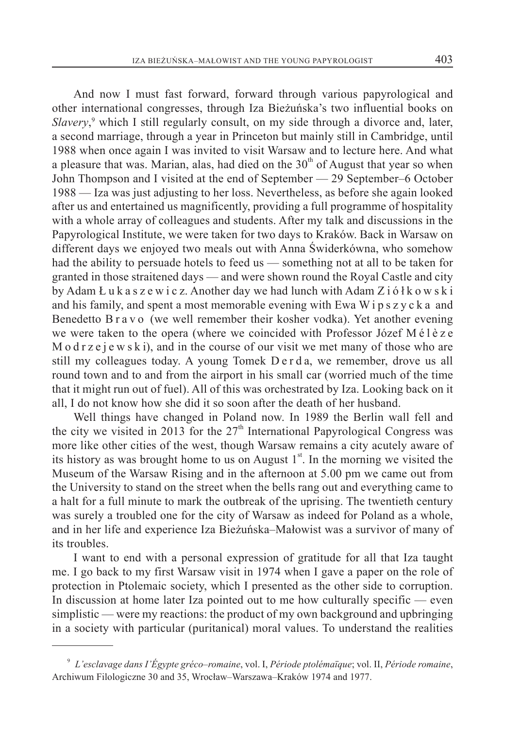And now I must fast forward, forward through various papyrological and other international congresses, through Iza Bieżuńska's two influential books on Slavery,<sup>9</sup> which I still regularly consult, on my side through a divorce and, later, a second marriage, through a year in Princeton but mainly still in Cambridge, until 1988 when once again I was invited to visit Warsaw and to lecture here. And what a pleasure that was. Marian, alas, had died on the  $30<sup>th</sup>$  of August that year so when John Thompson and I visited at the end of September - 29 September - 6 October 1988 — Iza was just adjusting to her loss. Nevertheless, as before she again looked after us and entertained us magnificently, providing a full programme of hospitality with a whole array of colleagues and students. After my talk and discussions in the Papyrological Institute, we were taken for two days to Kraków. Back in Warsaw on different days we enjoyed two meals out with Anna Świderkówna, who somehow had the ability to persuade hotels to feed us — something not at all to be taken for granted in those straitened days — and were shown round the Royal Castle and city by Adam Ł u k a s z e w i c z. Another day we had lunch with Adam Z i ó ł k o w s k i and his family, and spent a most memorable evening with Ewa W i p s z y c k a and Benedetto B r a v o (we well remember their kosher vodka). Yet another evening we were taken to the opera (where we coincided with Professor Józef M é l è z e M o d  $r$  z e j e w s k i), and in the course of our visit we met many of those who are still my colleagues today. A young Tomek D e r d a, we remember, drove us all round town and to and from the airport in his small car (worried much of the time that it might run out of fuel). All of this was orchestrated by Iza. Looking back on it all, I do not know how she did it so soon after the death of her husband.

Well things have changed in Poland now. In 1989 the Berlin wall fell and the city we visited in 2013 for the  $27<sup>th</sup>$  International Papyrological Congress was more like other cities of the west, though Warsaw remains a city acutely aware of its history as was brought home to us on August  $1<sup>st</sup>$ . In the morning we visited the Museum of the Warsaw Rising and in the afternoon at 5.00 pm we came out from the University to stand on the street when the bells rang out and everything came to a halt for a full minute to mark the outbreak of the uprising. The twentieth century was surely a troubled one for the city of Warsaw as indeed for Poland as a whole, and in her life and experience Iza Bieżuńska–Małowist was a survivor of many of its troubles.

I want to end with a personal expression of gratitude for all that Iza taught me. I go back to my first Warsaw visit in 1974 when I gave a paper on the role of protection in Ptolemaic society, which I presented as the other side to corruption. In discussion at home later Iza pointed out to me how culturally specific — even simplistic — were my reactions: the product of my own background and upbringing in a society with particular (puritanical) moral values. To understand the realities

<sup>9</sup> *L'esclavage dans I'Égypte gréco–romaine*, vol. I, *Période ptolémaïque*; vol. II, *Période romaine*, Archiwum Filologiczne 30 and 35, Wrocław–Warszawa–Kraków 1974 and 1977.